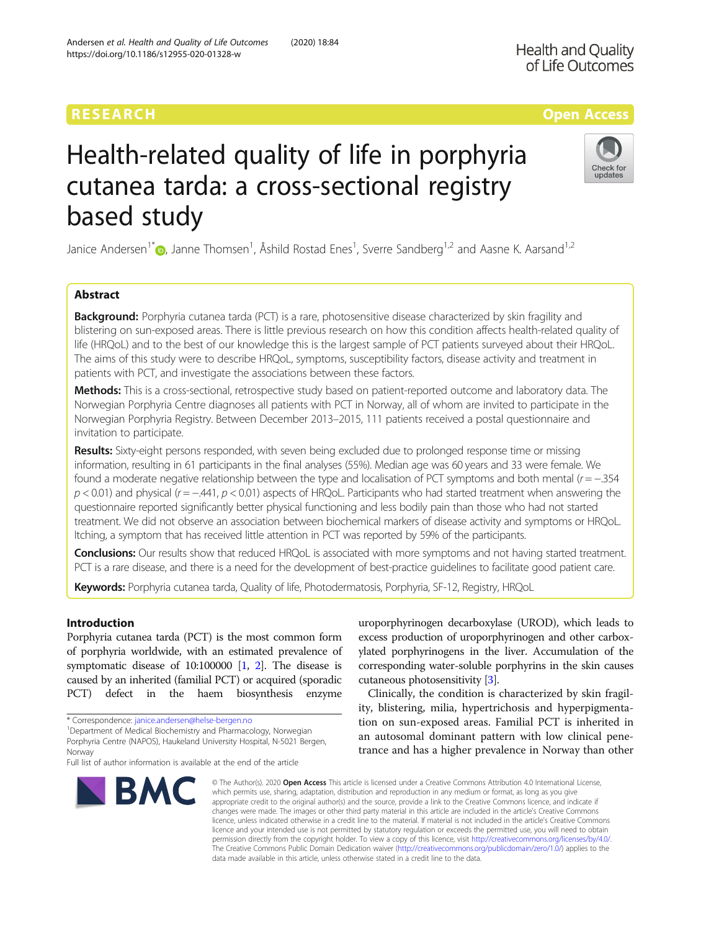# RESEARCH **RESEARCH CONSUMING THE CONSUMING THE CONSUMING TENS**

# Health-related quality of life in porphyria cutanea tarda: a cross-sectional registry based study

Janice Andersen<sup>1\*</sup> D[,](https://orcid.org/0000-0003-3028-9215) Janne Thomsen<sup>1</sup>, Åshild Rostad Enes<sup>1</sup>, Sverre Sandberg<sup>1,2</sup> and Aasne K. Aarsand<sup>1,2</sup>

# Abstract

Background: Porphyria cutanea tarda (PCT) is a rare, photosensitive disease characterized by skin fragility and blistering on sun-exposed areas. There is little previous research on how this condition affects health-related quality of life (HRQoL) and to the best of our knowledge this is the largest sample of PCT patients surveyed about their HRQoL. The aims of this study were to describe HRQoL, symptoms, susceptibility factors, disease activity and treatment in patients with PCT, and investigate the associations between these factors.

Methods: This is a cross-sectional, retrospective study based on patient-reported outcome and laboratory data. The Norwegian Porphyria Centre diagnoses all patients with PCT in Norway, all of whom are invited to participate in the Norwegian Porphyria Registry. Between December 2013–2015, 111 patients received a postal questionnaire and invitation to participate.

Results: Sixty-eight persons responded, with seven being excluded due to prolonged response time or missing information, resulting in 61 participants in the final analyses (55%). Median age was 60 years and 33 were female. We found a moderate negative relationship between the type and localisation of PCT symptoms and both mental ( $r = -0.354$ )  $p$  < 0.01) and physical ( $r = -441$ ,  $p$  < 0.01) aspects of HRQoL. Participants who had started treatment when answering the questionnaire reported significantly better physical functioning and less bodily pain than those who had not started treatment. We did not observe an association between biochemical markers of disease activity and symptoms or HRQoL. Itching, a symptom that has received little attention in PCT was reported by 59% of the participants.

Conclusions: Our results show that reduced HRQoL is associated with more symptoms and not having started treatment. PCT is a rare disease, and there is a need for the development of best-practice guidelines to facilitate good patient care.

Keywords: Porphyria cutanea tarda, Quality of life, Photodermatosis, Porphyria, SF-12, Registry, HRQoL

# Introduction

Porphyria cutanea tarda (PCT) is the most common form of porphyria worldwide, with an estimated prevalence of symptomatic disease of  $10:100000$  [\[1,](#page-7-0) [2](#page-7-0)]. The disease is caused by an inherited (familial PCT) or acquired (sporadic PCT) defect in the haem biosynthesis enzyme

\* Correspondence: [janice.andersen@helse-bergen.no](mailto:janice.andersen@helse-bergen.no) <sup>1</sup>

uroporphyrinogen decarboxylase (UROD), which leads to excess production of uroporphyrinogen and other carboxylated porphyrinogens in the liver. Accumulation of the corresponding water-soluble porphyrins in the skin causes cutaneous photosensitivity [[3](#page-7-0)].

Clinically, the condition is characterized by skin fragility, blistering, milia, hypertrichosis and hyperpigmentation on sun-exposed areas. Familial PCT is inherited in an autosomal dominant pattern with low clinical penetrance and has a higher prevalence in Norway than other

© The Author(s), 2020 **Open Access** This article is licensed under a Creative Commons Attribution 4.0 International License, which permits use, sharing, adaptation, distribution and reproduction in any medium or format, as long as you give appropriate credit to the original author(s) and the source, provide a link to the Creative Commons licence, and indicate if changes were made. The images or other third party material in this article are included in the article's Creative Commons licence, unless indicated otherwise in a credit line to the material. If material is not included in the article's Creative Commons licence and your intended use is not permitted by statutory regulation or exceeds the permitted use, you will need to obtain permission directly from the copyright holder. To view a copy of this licence, visit [http://creativecommons.org/licenses/by/4.0/.](http://creativecommons.org/licenses/by/4.0/) The Creative Commons Public Domain Dedication waiver [\(http://creativecommons.org/publicdomain/zero/1.0/](http://creativecommons.org/publicdomain/zero/1.0/)) applies to the data made available in this article, unless otherwise stated in a credit line to the data.

**BMC** 





Department of Medical Biochemistry and Pharmacology, Norwegian Porphyria Centre (NAPOS), Haukeland University Hospital, N-5021 Bergen, Norway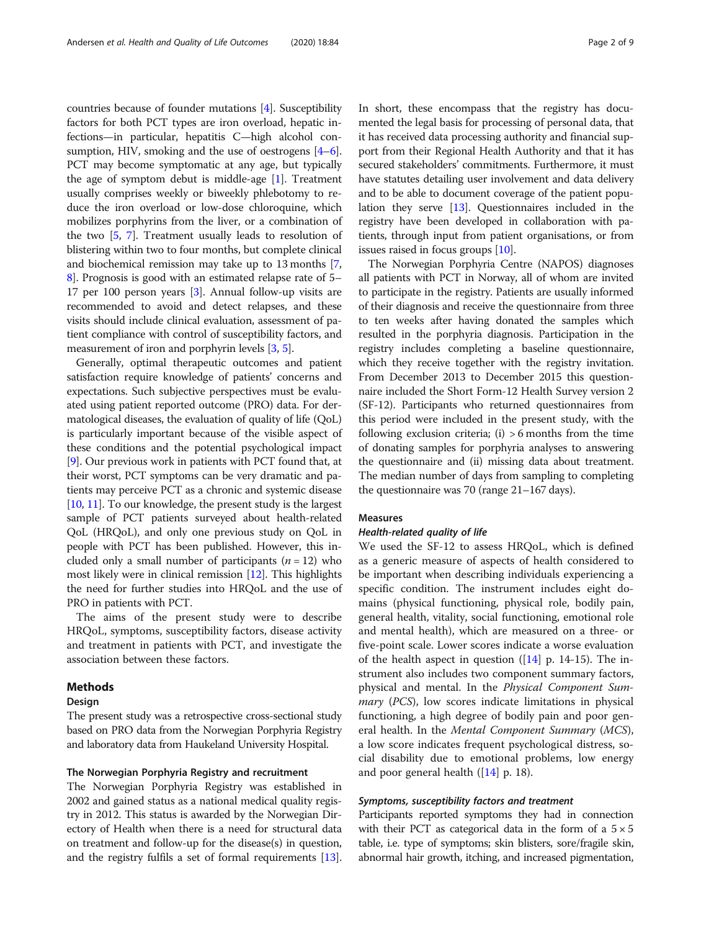countries because of founder mutations [\[4](#page-7-0)]. Susceptibility factors for both PCT types are iron overload, hepatic infections—in particular, hepatitis C—high alcohol consumption, HIV, smoking and the use of oestrogens  $[4-6]$  $[4-6]$  $[4-6]$  $[4-6]$  $[4-6]$ . PCT may become symptomatic at any age, but typically the age of symptom debut is middle-age  $[1]$  $[1]$ . Treatment usually comprises weekly or biweekly phlebotomy to reduce the iron overload or low-dose chloroquine, which mobilizes porphyrins from the liver, or a combination of the two [\[5,](#page-7-0) [7](#page-7-0)]. Treatment usually leads to resolution of blistering within two to four months, but complete clinical and biochemical remission may take up to 13 months [[7](#page-7-0), [8\]](#page-7-0). Prognosis is good with an estimated relapse rate of 5– 17 per 100 person years [\[3](#page-7-0)]. Annual follow-up visits are recommended to avoid and detect relapses, and these visits should include clinical evaluation, assessment of patient compliance with control of susceptibility factors, and measurement of iron and porphyrin levels [\[3](#page-7-0), [5\]](#page-7-0).

Generally, optimal therapeutic outcomes and patient satisfaction require knowledge of patients' concerns and expectations. Such subjective perspectives must be evaluated using patient reported outcome (PRO) data. For dermatological diseases, the evaluation of quality of life (QoL) is particularly important because of the visible aspect of these conditions and the potential psychological impact [[9\]](#page-7-0). Our previous work in patients with PCT found that, at their worst, PCT symptoms can be very dramatic and patients may perceive PCT as a chronic and systemic disease [[10](#page-7-0), [11\]](#page-7-0). To our knowledge, the present study is the largest sample of PCT patients surveyed about health-related QoL (HRQoL), and only one previous study on QoL in people with PCT has been published. However, this included only a small number of participants  $(n = 12)$  who most likely were in clinical remission [[12](#page-7-0)]. This highlights the need for further studies into HRQoL and the use of PRO in patients with PCT.

The aims of the present study were to describe HRQoL, symptoms, susceptibility factors, disease activity and treatment in patients with PCT, and investigate the association between these factors.

# Methods

#### Design

The present study was a retrospective cross-sectional study based on PRO data from the Norwegian Porphyria Registry and laboratory data from Haukeland University Hospital.

#### The Norwegian Porphyria Registry and recruitment

The Norwegian Porphyria Registry was established in 2002 and gained status as a national medical quality registry in 2012. This status is awarded by the Norwegian Directory of Health when there is a need for structural data on treatment and follow-up for the disease(s) in question, and the registry fulfils a set of formal requirements [[13](#page-7-0)]. In short, these encompass that the registry has documented the legal basis for processing of personal data, that it has received data processing authority and financial support from their Regional Health Authority and that it has secured stakeholders' commitments. Furthermore, it must have statutes detailing user involvement and data delivery and to be able to document coverage of the patient population they serve [\[13\]](#page-7-0). Questionnaires included in the registry have been developed in collaboration with patients, through input from patient organisations, or from issues raised in focus groups [[10](#page-7-0)].

The Norwegian Porphyria Centre (NAPOS) diagnoses all patients with PCT in Norway, all of whom are invited to participate in the registry. Patients are usually informed of their diagnosis and receive the questionnaire from three to ten weeks after having donated the samples which resulted in the porphyria diagnosis. Participation in the registry includes completing a baseline questionnaire, which they receive together with the registry invitation. From December 2013 to December 2015 this questionnaire included the Short Form-12 Health Survey version 2 (SF-12). Participants who returned questionnaires from this period were included in the present study, with the following exclusion criteria;  $(i) > 6$  months from the time of donating samples for porphyria analyses to answering the questionnaire and (ii) missing data about treatment. The median number of days from sampling to completing the questionnaire was 70 (range 21–167 days).

## Measures

#### Health-related quality of life

We used the SF-12 to assess HRQoL, which is defined as a generic measure of aspects of health considered to be important when describing individuals experiencing a specific condition. The instrument includes eight domains (physical functioning, physical role, bodily pain, general health, vitality, social functioning, emotional role and mental health), which are measured on a three- or five-point scale. Lower scores indicate a worse evaluation of the health aspect in question  $([14]$  $([14]$  $([14]$  p. 14-15). The instrument also includes two component summary factors, physical and mental. In the Physical Component Sum*mary* (PCS), low scores indicate limitations in physical functioning, a high degree of bodily pain and poor general health. In the Mental Component Summary (MCS), a low score indicates frequent psychological distress, social disability due to emotional problems, low energy and poor general health ([[14\]](#page-8-0) p. 18).

# Symptoms, susceptibility factors and treatment

Participants reported symptoms they had in connection with their PCT as categorical data in the form of a  $5 \times 5$ table, i.e. type of symptoms; skin blisters, sore/fragile skin, abnormal hair growth, itching, and increased pigmentation,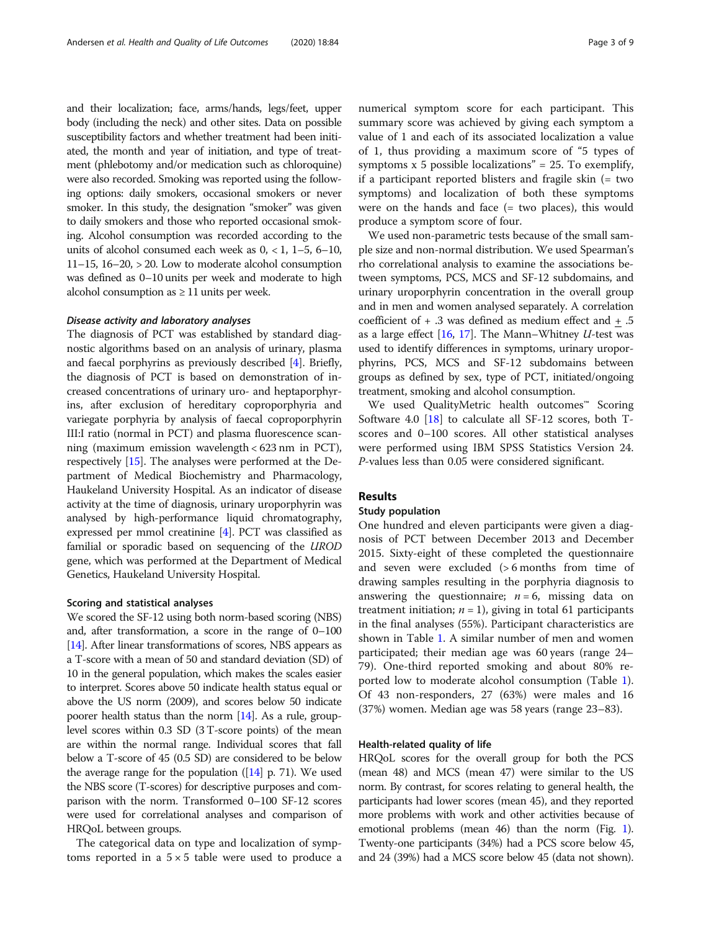and their localization; face, arms/hands, legs/feet, upper body (including the neck) and other sites. Data on possible susceptibility factors and whether treatment had been initiated, the month and year of initiation, and type of treatment (phlebotomy and/or medication such as chloroquine) were also recorded. Smoking was reported using the following options: daily smokers, occasional smokers or never smoker. In this study, the designation "smoker" was given to daily smokers and those who reported occasional smoking. Alcohol consumption was recorded according to the units of alcohol consumed each week as  $0, < 1, 1-5, 6-10,$ 11–15, 16–20, > 20. Low to moderate alcohol consumption was defined as 0–10 units per week and moderate to high alcohol consumption as  $\geq 11$  units per week.

# Disease activity and laboratory analyses

The diagnosis of PCT was established by standard diagnostic algorithms based on an analysis of urinary, plasma and faecal porphyrins as previously described [\[4\]](#page-7-0). Briefly, the diagnosis of PCT is based on demonstration of increased concentrations of urinary uro- and heptaporphyrins, after exclusion of hereditary coproporphyria and variegate porphyria by analysis of faecal coproporphyrin III:I ratio (normal in PCT) and plasma fluorescence scanning (maximum emission wavelength < 623 nm in PCT), respectively [\[15\]](#page-8-0). The analyses were performed at the Department of Medical Biochemistry and Pharmacology, Haukeland University Hospital. As an indicator of disease activity at the time of diagnosis, urinary uroporphyrin was analysed by high-performance liquid chromatography, expressed per mmol creatinine [\[4](#page-7-0)]. PCT was classified as familial or sporadic based on sequencing of the UROD gene, which was performed at the Department of Medical Genetics, Haukeland University Hospital.

# Scoring and statistical analyses

We scored the SF-12 using both norm-based scoring (NBS) and, after transformation, a score in the range of 0–100 [[14](#page-8-0)]. After linear transformations of scores, NBS appears as a T-score with a mean of 50 and standard deviation (SD) of 10 in the general population, which makes the scales easier to interpret. Scores above 50 indicate health status equal or above the US norm (2009), and scores below 50 indicate poorer health status than the norm [\[14\]](#page-8-0). As a rule, grouplevel scores within 0.3 SD (3 T-score points) of the mean are within the normal range. Individual scores that fall below a T-score of 45 (0.5 SD) are considered to be below the average range for the population ([\[14\]](#page-8-0) p. 71). We used the NBS score (T-scores) for descriptive purposes and comparison with the norm. Transformed 0–100 SF-12 scores were used for correlational analyses and comparison of HRQoL between groups.

The categorical data on type and localization of symptoms reported in a  $5 \times 5$  table were used to produce a numerical symptom score for each participant. This summary score was achieved by giving each symptom a value of 1 and each of its associated localization a value of 1, thus providing a maximum score of "5 types of symptoms  $x$  5 possible localizations" = 25. To exemplify, if a participant reported blisters and fragile skin (= two symptoms) and localization of both these symptoms were on the hands and face  $($  = two places), this would produce a symptom score of four.

We used non-parametric tests because of the small sample size and non-normal distribution. We used Spearman's rho correlational analysis to examine the associations between symptoms, PCS, MCS and SF-12 subdomains, and urinary uroporphyrin concentration in the overall group and in men and women analysed separately. A correlation coefficient of + .3 was defined as medium effect and + .5 as a large effect  $[16, 17]$  $[16, 17]$  $[16, 17]$  $[16, 17]$ . The Mann–Whitney U-test was used to identify differences in symptoms, urinary uroporphyrins, PCS, MCS and SF-12 subdomains between groups as defined by sex, type of PCT, initiated/ongoing treatment, smoking and alcohol consumption.

We used QualityMetric health outcomes™ Scoring Software 4.0 [[18](#page-8-0)] to calculate all SF-12 scores, both Tscores and 0–100 scores. All other statistical analyses were performed using IBM SPSS Statistics Version 24. P-values less than 0.05 were considered significant.

# Results

# Study population

One hundred and eleven participants were given a diagnosis of PCT between December 2013 and December 2015. Sixty-eight of these completed the questionnaire and seven were excluded (> 6 months from time of drawing samples resulting in the porphyria diagnosis to answering the questionnaire;  $n = 6$ , missing data on treatment initiation;  $n = 1$ ), giving in total 61 participants in the final analyses (55%). Participant characteristics are shown in Table [1.](#page-3-0) A similar number of men and women participated; their median age was 60 years (range 24– 79). One-third reported smoking and about 80% reported low to moderate alcohol consumption (Table [1](#page-3-0)). Of 43 non-responders, 27 (63%) were males and 16 (37%) women. Median age was 58 years (range 23–83).

## Health-related quality of life

HRQoL scores for the overall group for both the PCS (mean 48) and MCS (mean 47) were similar to the US norm. By contrast, for scores relating to general health, the participants had lower scores (mean 45), and they reported more problems with work and other activities because of emotional problems (mean 46) than the norm (Fig. [1](#page-4-0)). Twenty-one participants (34%) had a PCS score below 45, and 24 (39%) had a MCS score below 45 (data not shown).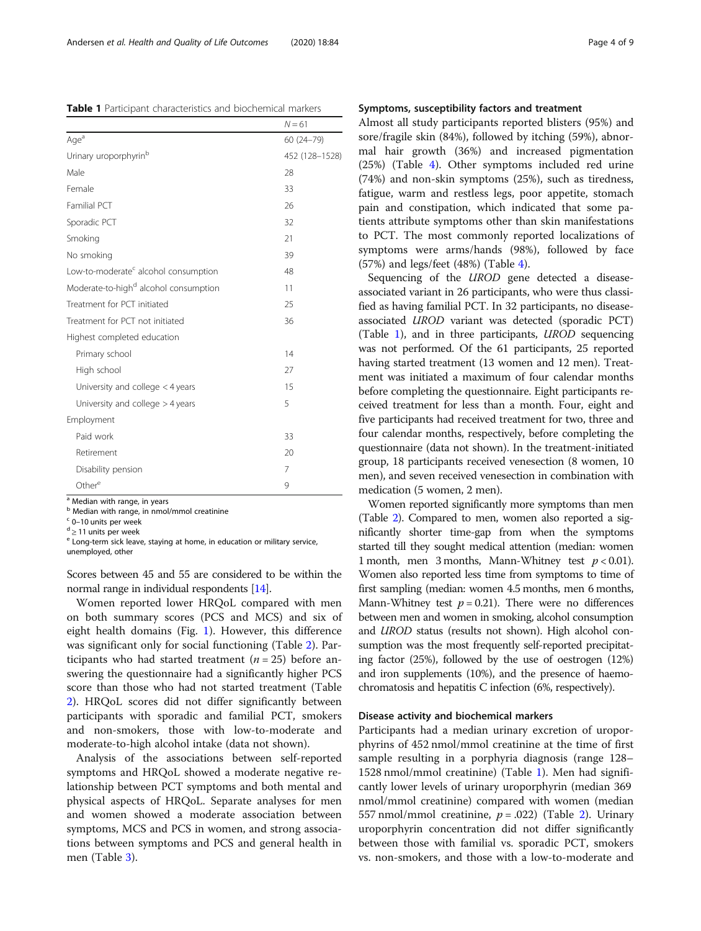<span id="page-3-0"></span>Table 1 Participant characteristics and biochemical markers

|                                                   | $N = 61$       |
|---------------------------------------------------|----------------|
| Age <sup>a</sup>                                  | 60 (24-79)     |
| Urinary uroporphyrin <sup>b</sup>                 | 452 (128-1528) |
| Male                                              | 28             |
| Female                                            | 33             |
| Familial PCT                                      | 26             |
| Sporadic PCT                                      | 32             |
| Smoking                                           | 21             |
| No smoking                                        | 39             |
| Low-to-moderate <sup>c</sup> alcohol consumption  | 48             |
| Moderate-to-high <sup>d</sup> alcohol consumption | 11             |
| Treatment for PCT initiated                       | 25             |
| Treatment for PCT not initiated                   | 36             |
| Highest completed education                       |                |
| Primary school                                    | 14             |
| High school                                       | 27             |
| University and college < 4 years                  | 15             |
| University and college > 4 years                  | 5              |
| Employment                                        |                |
| Paid work                                         | 33             |
| Retirement                                        | 20             |
| Disability pension                                | 7              |
| Other <sup>e</sup>                                | 9              |

<sup>a</sup> Median with range, in years

 $<sup>b</sup>$  Median with range, in nmol/mmol creatinine<br>  $<sup>c</sup>$  0–10 units per week</sup></sup>

 $d \ge 11$  units per week deen versek en bome, in education or military service,  $e$  bong-term sick leave, staying at home, in education or military service,

unemployed, other

Scores between 45 and 55 are considered to be within the normal range in individual respondents [\[14\]](#page-8-0).

Women reported lower HRQoL compared with men on both summary scores (PCS and MCS) and six of eight health domains (Fig. [1\)](#page-4-0). However, this difference was significant only for social functioning (Table [2\)](#page-5-0). Participants who had started treatment  $(n = 25)$  before answering the questionnaire had a significantly higher PCS score than those who had not started treatment (Table [2\)](#page-5-0). HRQoL scores did not differ significantly between participants with sporadic and familial PCT, smokers and non-smokers, those with low-to-moderate and moderate-to-high alcohol intake (data not shown).

Analysis of the associations between self-reported symptoms and HRQoL showed a moderate negative relationship between PCT symptoms and both mental and physical aspects of HRQoL. Separate analyses for men and women showed a moderate association between symptoms, MCS and PCS in women, and strong associations between symptoms and PCS and general health in men (Table [3\)](#page-5-0).

Almost all study participants reported blisters (95%) and sore/fragile skin (84%), followed by itching (59%), abnormal hair growth (36%) and increased pigmentation (25%) (Table [4\)](#page-6-0). Other symptoms included red urine (74%) and non-skin symptoms (25%), such as tiredness, fatigue, warm and restless legs, poor appetite, stomach pain and constipation, which indicated that some patients attribute symptoms other than skin manifestations to PCT. The most commonly reported localizations of symptoms were arms/hands (98%), followed by face (57%) and legs/feet (48%) (Table [4](#page-6-0)).

Sequencing of the UROD gene detected a diseaseassociated variant in 26 participants, who were thus classified as having familial PCT. In 32 participants, no diseaseassociated UROD variant was detected (sporadic PCT) (Table 1), and in three participants, UROD sequencing was not performed. Of the 61 participants, 25 reported having started treatment (13 women and 12 men). Treatment was initiated a maximum of four calendar months before completing the questionnaire. Eight participants received treatment for less than a month. Four, eight and five participants had received treatment for two, three and four calendar months, respectively, before completing the questionnaire (data not shown). In the treatment-initiated group, 18 participants received venesection (8 women, 10 men), and seven received venesection in combination with medication (5 women, 2 men).

Women reported significantly more symptoms than men (Table [2](#page-5-0)). Compared to men, women also reported a significantly shorter time-gap from when the symptoms started till they sought medical attention (median: women 1 month, men 3 months, Mann-Whitney test  $p < 0.01$ ). Women also reported less time from symptoms to time of first sampling (median: women 4.5 months, men 6 months, Mann-Whitney test  $p = 0.21$ ). There were no differences between men and women in smoking, alcohol consumption and UROD status (results not shown). High alcohol consumption was the most frequently self-reported precipitating factor (25%), followed by the use of oestrogen (12%) and iron supplements (10%), and the presence of haemochromatosis and hepatitis C infection (6%, respectively).

#### Disease activity and biochemical markers

Participants had a median urinary excretion of uroporphyrins of 452 nmol/mmol creatinine at the time of first sample resulting in a porphyria diagnosis (range 128– 1528 nmol/mmol creatinine) (Table 1). Men had significantly lower levels of urinary uroporphyrin (median 369 nmol/mmol creatinine) compared with women (median 557 nmol/mmol creatinine,  $p = .022$  $p = .022$  $p = .022$ ) (Table 2). Urinary uroporphyrin concentration did not differ significantly between those with familial vs. sporadic PCT, smokers vs. non-smokers, and those with a low-to-moderate and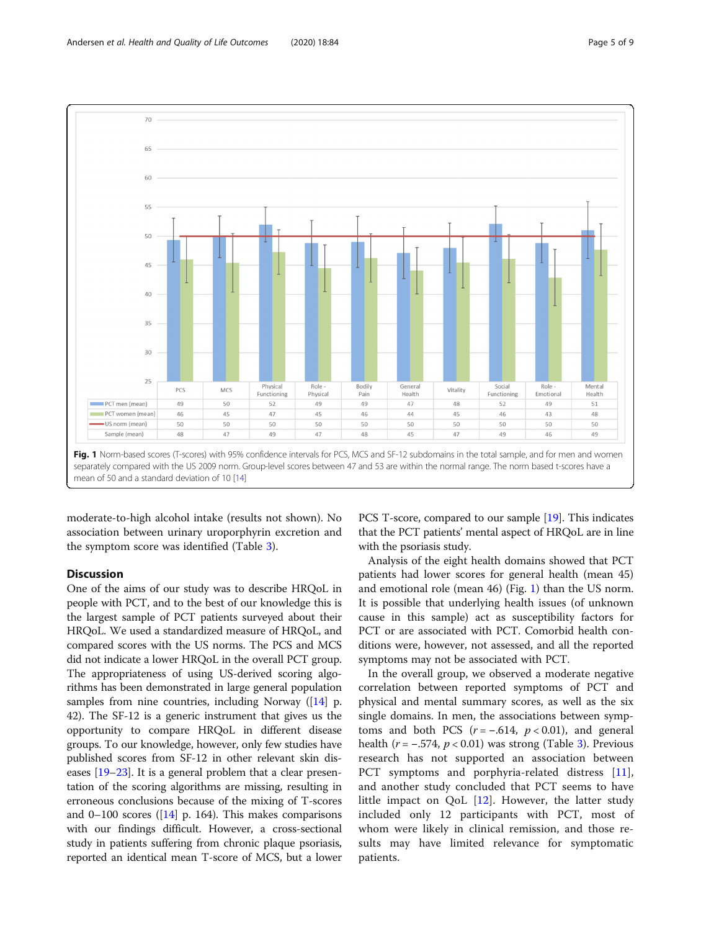<span id="page-4-0"></span>

moderate-to-high alcohol intake (results not shown). No association between urinary uroporphyrin excretion and the symptom score was identified (Table [3](#page-5-0)).

# Discussion

One of the aims of our study was to describe HRQoL in people with PCT, and to the best of our knowledge this is the largest sample of PCT patients surveyed about their HRQoL. We used a standardized measure of HRQoL, and compared scores with the US norms. The PCS and MCS did not indicate a lower HRQoL in the overall PCT group. The appropriateness of using US-derived scoring algorithms has been demonstrated in large general population samples from nine countries, including Norway ([\[14\]](#page-8-0) p. 42). The SF-12 is a generic instrument that gives us the opportunity to compare HRQoL in different disease groups. To our knowledge, however, only few studies have published scores from SF-12 in other relevant skin diseases [\[19](#page-8-0)–[23](#page-8-0)]. It is a general problem that a clear presentation of the scoring algorithms are missing, resulting in erroneous conclusions because of the mixing of T-scores and  $0-100$  scores ([[14](#page-8-0)] p. 164). This makes comparisons with our findings difficult. However, a cross-sectional study in patients suffering from chronic plaque psoriasis, reported an identical mean T-score of MCS, but a lower

PCS T-score, compared to our sample [\[19\]](#page-8-0). This indicates that the PCT patients' mental aspect of HRQoL are in line with the psoriasis study.

Analysis of the eight health domains showed that PCT patients had lower scores for general health (mean 45) and emotional role (mean 46) (Fig. 1) than the US norm. It is possible that underlying health issues (of unknown cause in this sample) act as susceptibility factors for PCT or are associated with PCT. Comorbid health conditions were, however, not assessed, and all the reported symptoms may not be associated with PCT.

In the overall group, we observed a moderate negative correlation between reported symptoms of PCT and physical and mental summary scores, as well as the six single domains. In men, the associations between symptoms and both PCS ( $r = -.614$ ,  $p < 0.01$ ), and general health ( $r = -.574$ ,  $p < 0.01$ ) was strong (Table [3](#page-5-0)). Previous research has not supported an association between PCT symptoms and porphyria-related distress [\[11](#page-7-0)], and another study concluded that PCT seems to have little impact on QoL [[12\]](#page-7-0). However, the latter study included only 12 participants with PCT, most of whom were likely in clinical remission, and those results may have limited relevance for symptomatic patients.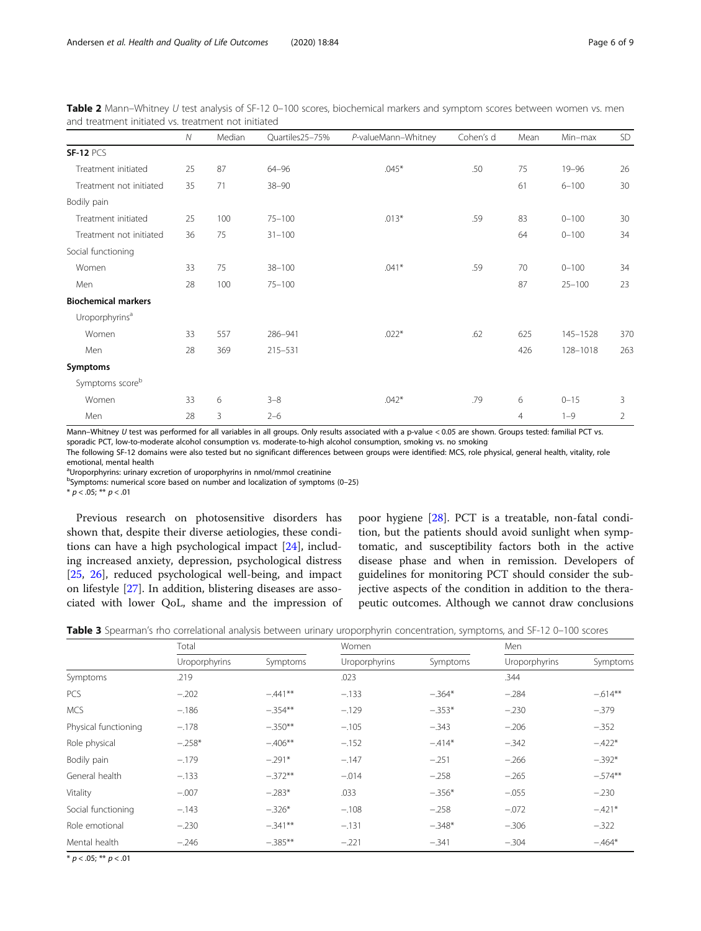|                            | ${\cal N}$ | Median | Quartiles25-75% | P-valueMann-Whitney | Cohen's d | Mean           | Min-max    | SD             |
|----------------------------|------------|--------|-----------------|---------------------|-----------|----------------|------------|----------------|
| <b>SF-12 PCS</b>           |            |        |                 |                     |           |                |            |                |
| Treatment initiated        | 25         | 87     | 64-96           | $.045*$             | .50       | 75             | $19 - 96$  | 26             |
| Treatment not initiated    | 35         | 71     | $38 - 90$       |                     |           | 61             | $6 - 100$  | 30             |
| Bodily pain                |            |        |                 |                     |           |                |            |                |
| Treatment initiated        | 25         | 100    | $75 - 100$      | $.013*$             | .59       | 83             | $0 - 100$  | 30             |
| Treatment not initiated    | 36         | 75     | $31 - 100$      |                     |           | 64             | $0 - 100$  | 34             |
| Social functioning         |            |        |                 |                     |           |                |            |                |
| Women                      | 33         | 75     | $38 - 100$      | $.041*$             | .59       | 70             | $0 - 100$  | 34             |
| Men                        | 28         | 100    | $75 - 100$      |                     |           | 87             | $25 - 100$ | 23             |
| <b>Biochemical markers</b> |            |        |                 |                     |           |                |            |                |
| Uroporphyrins <sup>a</sup> |            |        |                 |                     |           |                |            |                |
| Women                      | 33         | 557    | 286-941         | $.022*$             | .62       | 625            | 145-1528   | 370            |
| Men                        | 28         | 369    | 215-531         |                     |           | 426            | 128-1018   | 263            |
| Symptoms                   |            |        |                 |                     |           |                |            |                |
| Symptoms scoreb            |            |        |                 |                     |           |                |            |                |
| Women                      | 33         | 6      | $3 - 8$         | $.042*$             | .79       | 6              | $0 - 15$   | 3              |
| Men                        | 28         | 3      | $2 - 6$         |                     |           | $\overline{4}$ | $1 - 9$    | $\overline{2}$ |

<span id="page-5-0"></span>Table 2 Mann–Whitney U test analysis of SF-12 0-100 scores, biochemical markers and symptom scores between women vs. men and treatment initiated vs. treatment not initiated

Mann–Whitney U test was performed for all variables in all groups. Only results associated with a p-value < 0.05 are shown. Groups tested: familial PCT vs. sporadic PCT, low-to-moderate alcohol consumption vs. moderate-to-high alcohol consumption, smoking vs. no smoking The following SF-12 domains were also tested but no significant differences between groups were identified: MCS, role physical, general health, vitality, role

emotional, mental health aUroporphyrins: urinary excretion of uroporphyrins in nmol/mmol creatinine

<sup>b</sup>Symptoms: numerical score based on number and localization of symptoms (0-25)

\*  $p < .05$ ; \*\*  $p < .01$ 

Previous research on photosensitive disorders has shown that, despite their diverse aetiologies, these conditions can have a high psychological impact [[24\]](#page-8-0), including increased anxiety, depression, psychological distress [[25,](#page-8-0) [26\]](#page-8-0), reduced psychological well-being, and impact on lifestyle [[27\]](#page-8-0). In addition, blistering diseases are associated with lower QoL, shame and the impression of poor hygiene [[28\]](#page-8-0). PCT is a treatable, non-fatal condition, but the patients should avoid sunlight when symptomatic, and susceptibility factors both in the active disease phase and when in remission. Developers of guidelines for monitoring PCT should consider the subjective aspects of the condition in addition to the therapeutic outcomes. Although we cannot draw conclusions

| Table 3 Spearman's rho correlational analysis between urinary uroporphyrin concentration, symptoms, and SF-12 0-100 scores |  |  |  |
|----------------------------------------------------------------------------------------------------------------------------|--|--|--|
|----------------------------------------------------------------------------------------------------------------------------|--|--|--|

|                      | Total         |            | Women         |          | Men           |           |
|----------------------|---------------|------------|---------------|----------|---------------|-----------|
|                      | Uroporphyrins | Symptoms   | Uroporphyrins | Symptoms | Uroporphyrins | Symptoms  |
| Symptoms             | .219          |            | .023          |          | .344          |           |
| <b>PCS</b>           | $-.202$       | $-.441$ ** | $-.133$       | $-.364*$ | $-.284$       | $-.614**$ |
| <b>MCS</b>           | $-.186$       | $-.354**$  | $-.129$       | $-.353*$ | $-.230$       | $-379$    |
| Physical functioning | $-.178$       | $-.350**$  | $-.105$       | $-.343$  | $-.206$       | $-.352$   |
| Role physical        | $-.258*$      | $-.406**$  | $-.152$       | $-.414*$ | $-342$        | $-422*$   |
| Bodily pain          | $-.179$       | $-.291*$   | $-.147$       | $-.251$  | $-.266$       | $-392*$   |
| General health       | $-.133$       | $-.372**$  | $-.014$       | $-.258$  | $-.265$       | $-.574**$ |
| Vitality             | $-.007$       | $-.283*$   | .033          | $-.356*$ | $-.055$       | $-.230$   |
| Social functioning   | $-.143$       | $-.326*$   | $-.108$       | $-.258$  | $-.072$       | $-.421*$  |
| Role emotional       | $-.230$       | $-.341$ ** | $-.131$       | $-.348*$ | $-.306$       | $-.322$   |
| Mental health        | $-.246$       | $-.385***$ | $-.221$       | $-.341$  | $-.304$       | $-.464*$  |

\*  $p < .05;$  \*\*  $p < .01$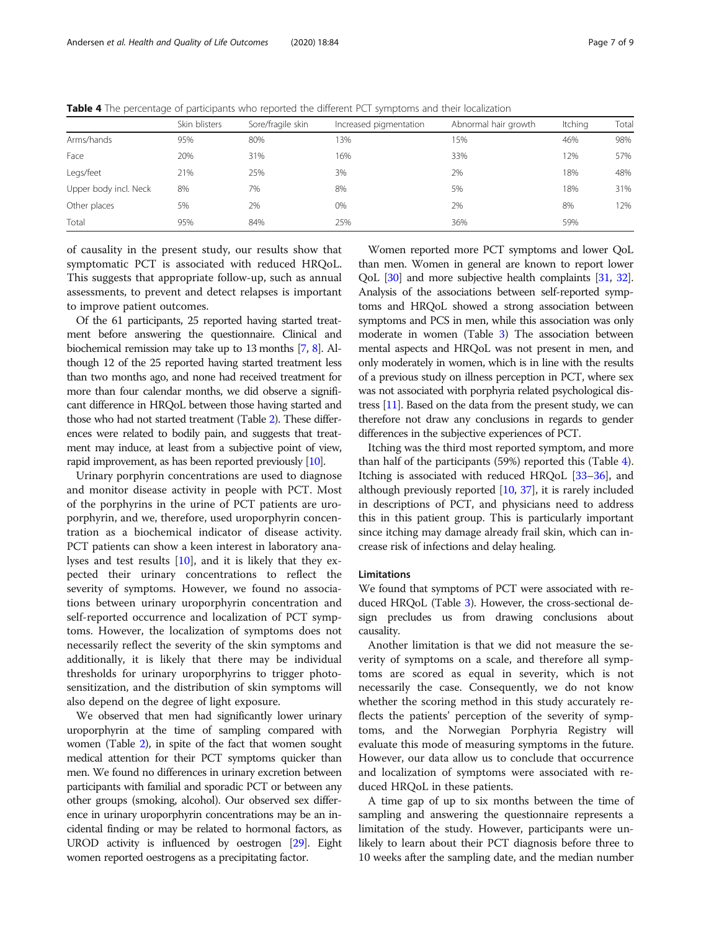<span id="page-6-0"></span>Table 4 The percentage of participants who reported the different PCT symptoms and their localization

|                       | Skin blisters | Sore/fragile skin | Increased pigmentation | Abnormal hair growth | Itching | Tota |
|-----------------------|---------------|-------------------|------------------------|----------------------|---------|------|
| Arms/hands            | 95%           | 80%               | 13%                    | 15%                  | 46%     | 98%  |
| Face                  | 20%           | 31%               | 16%                    | 33%                  | 12%     | 57%  |
| Legs/feet             | 21%           | 25%               | 3%                     | 2%                   | 18%     | 48%  |
| Upper body incl. Neck | 8%            | 7%                | 8%                     | 5%                   | 18%     | 31%  |
| Other places          | 5%            | 2%                | 0%                     | 2%                   | 8%      | 12%  |
| Total                 | 95%           | 84%               | 25%                    | 36%                  | 59%     |      |

of causality in the present study, our results show that symptomatic PCT is associated with reduced HRQoL. This suggests that appropriate follow-up, such as annual assessments, to prevent and detect relapses is important to improve patient outcomes.

Of the 61 participants, 25 reported having started treatment before answering the questionnaire. Clinical and biochemical remission may take up to 13 months [[7](#page-7-0), [8](#page-7-0)]. Although 12 of the 25 reported having started treatment less than two months ago, and none had received treatment for more than four calendar months, we did observe a significant difference in HRQoL between those having started and those who had not started treatment (Table [2](#page-5-0)). These differences were related to bodily pain, and suggests that treatment may induce, at least from a subjective point of view, rapid improvement, as has been reported previously [[10\]](#page-7-0).

Urinary porphyrin concentrations are used to diagnose and monitor disease activity in people with PCT. Most of the porphyrins in the urine of PCT patients are uroporphyrin, and we, therefore, used uroporphyrin concentration as a biochemical indicator of disease activity. PCT patients can show a keen interest in laboratory analyses and test results [[10\]](#page-7-0), and it is likely that they expected their urinary concentrations to reflect the severity of symptoms. However, we found no associations between urinary uroporphyrin concentration and self-reported occurrence and localization of PCT symptoms. However, the localization of symptoms does not necessarily reflect the severity of the skin symptoms and additionally, it is likely that there may be individual thresholds for urinary uroporphyrins to trigger photosensitization, and the distribution of skin symptoms will also depend on the degree of light exposure.

We observed that men had significantly lower urinary uroporphyrin at the time of sampling compared with women (Table [2](#page-5-0)), in spite of the fact that women sought medical attention for their PCT symptoms quicker than men. We found no differences in urinary excretion between participants with familial and sporadic PCT or between any other groups (smoking, alcohol). Our observed sex difference in urinary uroporphyrin concentrations may be an incidental finding or may be related to hormonal factors, as UROD activity is influenced by oestrogen [\[29](#page-8-0)]. Eight women reported oestrogens as a precipitating factor.

Women reported more PCT symptoms and lower QoL than men. Women in general are known to report lower QoL [\[30\]](#page-8-0) and more subjective health complaints [[31](#page-8-0), [32](#page-8-0)]. Analysis of the associations between self-reported symptoms and HRQoL showed a strong association between symptoms and PCS in men, while this association was only moderate in women (Table [3](#page-5-0)) The association between mental aspects and HRQoL was not present in men, and only moderately in women, which is in line with the results of a previous study on illness perception in PCT, where sex was not associated with porphyria related psychological distress [\[11\]](#page-7-0). Based on the data from the present study, we can therefore not draw any conclusions in regards to gender differences in the subjective experiences of PCT.

Itching was the third most reported symptom, and more than half of the participants (59%) reported this (Table 4). Itching is associated with reduced HRQoL [\[33](#page-8-0)–[36](#page-8-0)], and although previously reported [\[10,](#page-7-0) [37\]](#page-8-0), it is rarely included in descriptions of PCT, and physicians need to address this in this patient group. This is particularly important since itching may damage already frail skin, which can increase risk of infections and delay healing.

# Limitations

We found that symptoms of PCT were associated with reduced HRQoL (Table [3\)](#page-5-0). However, the cross-sectional design precludes us from drawing conclusions about causality.

Another limitation is that we did not measure the severity of symptoms on a scale, and therefore all symptoms are scored as equal in severity, which is not necessarily the case. Consequently, we do not know whether the scoring method in this study accurately reflects the patients' perception of the severity of symptoms, and the Norwegian Porphyria Registry will evaluate this mode of measuring symptoms in the future. However, our data allow us to conclude that occurrence and localization of symptoms were associated with reduced HRQoL in these patients.

A time gap of up to six months between the time of sampling and answering the questionnaire represents a limitation of the study. However, participants were unlikely to learn about their PCT diagnosis before three to 10 weeks after the sampling date, and the median number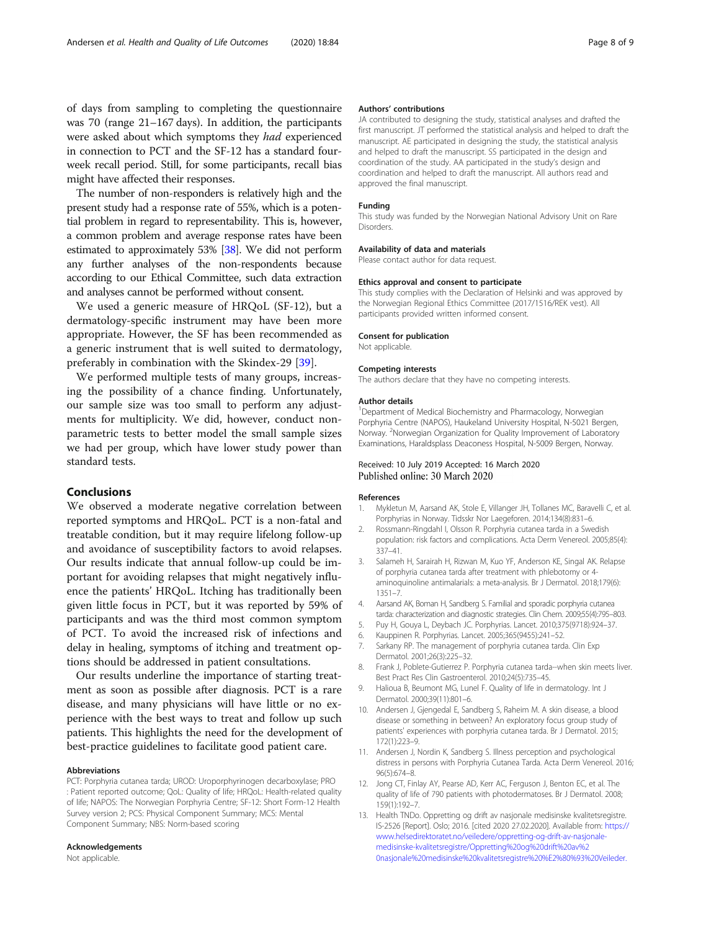<span id="page-7-0"></span>of days from sampling to completing the questionnaire was 70 (range 21–167 days). In addition, the participants were asked about which symptoms they had experienced in connection to PCT and the SF-12 has a standard fourweek recall period. Still, for some participants, recall bias might have affected their responses.

The number of non-responders is relatively high and the present study had a response rate of 55%, which is a potential problem in regard to representability. This is, however, a common problem and average response rates have been estimated to approximately 53% [[38](#page-8-0)]. We did not perform any further analyses of the non-respondents because according to our Ethical Committee, such data extraction and analyses cannot be performed without consent.

We used a generic measure of HRQoL (SF-12), but a dermatology-specific instrument may have been more appropriate. However, the SF has been recommended as a generic instrument that is well suited to dermatology, preferably in combination with the Skindex-29 [\[39\]](#page-8-0).

We performed multiple tests of many groups, increasing the possibility of a chance finding. Unfortunately, our sample size was too small to perform any adjustments for multiplicity. We did, however, conduct nonparametric tests to better model the small sample sizes we had per group, which have lower study power than standard tests.

## Conclusions

We observed a moderate negative correlation between reported symptoms and HRQoL. PCT is a non-fatal and treatable condition, but it may require lifelong follow-up and avoidance of susceptibility factors to avoid relapses. Our results indicate that annual follow-up could be important for avoiding relapses that might negatively influence the patients' HRQoL. Itching has traditionally been given little focus in PCT, but it was reported by 59% of participants and was the third most common symptom of PCT. To avoid the increased risk of infections and delay in healing, symptoms of itching and treatment options should be addressed in patient consultations.

Our results underline the importance of starting treatment as soon as possible after diagnosis. PCT is a rare disease, and many physicians will have little or no experience with the best ways to treat and follow up such patients. This highlights the need for the development of best-practice guidelines to facilitate good patient care.

#### Abbreviations

PCT: Porphyria cutanea tarda; UROD: Uroporphyrinogen decarboxylase; PRO : Patient reported outcome; QoL: Quality of life; HRQoL: Health-related quality of life; NAPOS: The Norwegian Porphyria Centre; SF-12: Short Form-12 Health Survey version 2; PCS: Physical Component Summary; MCS: Mental Component Summary; NBS: Norm-based scoring

#### Acknowledgements

Not applicable.

#### Authors' contributions

JA contributed to designing the study, statistical analyses and drafted the first manuscript. JT performed the statistical analysis and helped to draft the manuscript. AE participated in designing the study, the statistical analysis and helped to draft the manuscript. SS participated in the design and coordination of the study. AA participated in the study's design and coordination and helped to draft the manuscript. All authors read and approved the final manuscript.

#### Funding

This study was funded by the Norwegian National Advisory Unit on Rare Disorders.

#### Availability of data and materials

Please contact author for data request.

#### Ethics approval and consent to participate

This study complies with the Declaration of Helsinki and was approved by the Norwegian Regional Ethics Committee (2017/1516/REK vest). All participants provided written informed consent.

#### Consent for publication

Not applicable.

#### Competing interests

The authors declare that they have no competing interests.

#### Author details

<sup>1</sup> Department of Medical Biochemistry and Pharmacology, Norwegian Porphyria Centre (NAPOS), Haukeland University Hospital, N-5021 Bergen, Norway. <sup>2</sup>Norwegian Organization for Quality Improvement of Laboratory Examinations, Haraldsplass Deaconess Hospital, N-5009 Bergen, Norway.

#### Received: 10 July 2019 Accepted: 16 March 2020 Published online: 30 March 2020

#### References

- 1. Mykletun M, Aarsand AK, Stole E, Villanger JH, Tollanes MC, Baravelli C, et al. Porphyrias in Norway. Tidsskr Nor Laegeforen. 2014;134(8):831–6.
- 2. Rossmann-Ringdahl I, Olsson R. Porphyria cutanea tarda in a Swedish population: risk factors and complications. Acta Derm Venereol. 2005;85(4): 337–41.
- 3. Salameh H, Sarairah H, Rizwan M, Kuo YF, Anderson KE, Singal AK. Relapse of porphyria cutanea tarda after treatment with phlebotomy or 4 aminoquinoline antimalarials: a meta-analysis. Br J Dermatol. 2018;179(6): 1351–7.
- 4. Aarsand AK, Boman H, Sandberg S. Familial and sporadic porphyria cutanea tarda: characterization and diagnostic strategies. Clin Chem. 2009;55(4):795–803.
- 5. Puy H, Gouya L, Deybach JC. Porphyrias. Lancet. 2010;375(9718):924–37.
- 6. Kauppinen R. Porphyrias. Lancet. 2005;365(9455):241–52.
- 7. Sarkany RP. The management of porphyria cutanea tarda. Clin Exp Dermatol. 2001;26(3):225–32.
- 8. Frank J, Poblete-Gutierrez P. Porphyria cutanea tarda--when skin meets liver. Best Pract Res Clin Gastroenterol. 2010;24(5):735–45.
- 9. Halioua B, Beumont MG, Lunel F. Quality of life in dermatology. Int J Dermatol. 2000;39(11):801–6.
- 10. Andersen J, Gjengedal E, Sandberg S, Raheim M. A skin disease, a blood disease or something in between? An exploratory focus group study of patients' experiences with porphyria cutanea tarda. Br J Dermatol. 2015; 172(1):223–9.
- 11. Andersen J, Nordin K, Sandberg S. Illness perception and psychological distress in persons with Porphyria Cutanea Tarda. Acta Derm Venereol. 2016; 96(5):674–8.
- 12. Jong CT, Finlay AY, Pearse AD, Kerr AC, Ferguson J, Benton EC, et al. The quality of life of 790 patients with photodermatoses. Br J Dermatol. 2008; 159(1):192–7.
- 13. Health TNDo. Oppretting og drift av nasjonale medisinske kvalitetsregistre. IS-2526 [Report]. Oslo; 2016. [cited 2020 27.02.2020]. Available from: [https://](https://www.helsedirektoratet.no/veiledere/oppretting-og-drift-av-nasjonale-medisinske-kvalitetsregistre/Oppretting%20og%20drift%20av%20nasjonale%20medisinske%20kvalitetsregistre%20%E2%80%93%20Veileder.pdf/_/attachment/inline/7d49efde-3a68-42c2-9613-d7cdebb93a1a:a3ff9539e9401c1a019992645622f23d5c852fcd/Oppretting%20og%20drift%20av%20nasjonale%20medisinske%20kvalitetsregistre%20%E2%80%93%20Veileder.pdf) [www.helsedirektoratet.no/veiledere/oppretting-og-drift-av-nasjonale](https://www.helsedirektoratet.no/veiledere/oppretting-og-drift-av-nasjonale-medisinske-kvalitetsregistre/Oppretting%20og%20drift%20av%20nasjonale%20medisinske%20kvalitetsregistre%20%E2%80%93%20Veileder.pdf/_/attachment/inline/7d49efde-3a68-42c2-9613-d7cdebb93a1a:a3ff9539e9401c1a019992645622f23d5c852fcd/Oppretting%20og%20drift%20av%20nasjonale%20medisinske%20kvalitetsregistre%20%E2%80%93%20Veileder.pdf)[medisinske-kvalitetsregistre/Oppretting%20og%20drift%20av%2](https://www.helsedirektoratet.no/veiledere/oppretting-og-drift-av-nasjonale-medisinske-kvalitetsregistre/Oppretting%20og%20drift%20av%20nasjonale%20medisinske%20kvalitetsregistre%20%E2%80%93%20Veileder.pdf/_/attachment/inline/7d49efde-3a68-42c2-9613-d7cdebb93a1a:a3ff9539e9401c1a019992645622f23d5c852fcd/Oppretting%20og%20drift%20av%20nasjonale%20medisinske%20kvalitetsregistre%20%E2%80%93%20Veileder.pdf) [0nasjonale%20medisinske%20kvalitetsregistre%20%E2%80%93%20Veileder.](https://www.helsedirektoratet.no/veiledere/oppretting-og-drift-av-nasjonale-medisinske-kvalitetsregistre/Oppretting%20og%20drift%20av%20nasjonale%20medisinske%20kvalitetsregistre%20%E2%80%93%20Veileder.pdf/_/attachment/inline/7d49efde-3a68-42c2-9613-d7cdebb93a1a:a3ff9539e9401c1a019992645622f23d5c852fcd/Oppretting%20og%20drift%20av%20nasjonale%20medisinske%20kvalitetsregistre%20%E2%80%93%20Veileder.pdf)